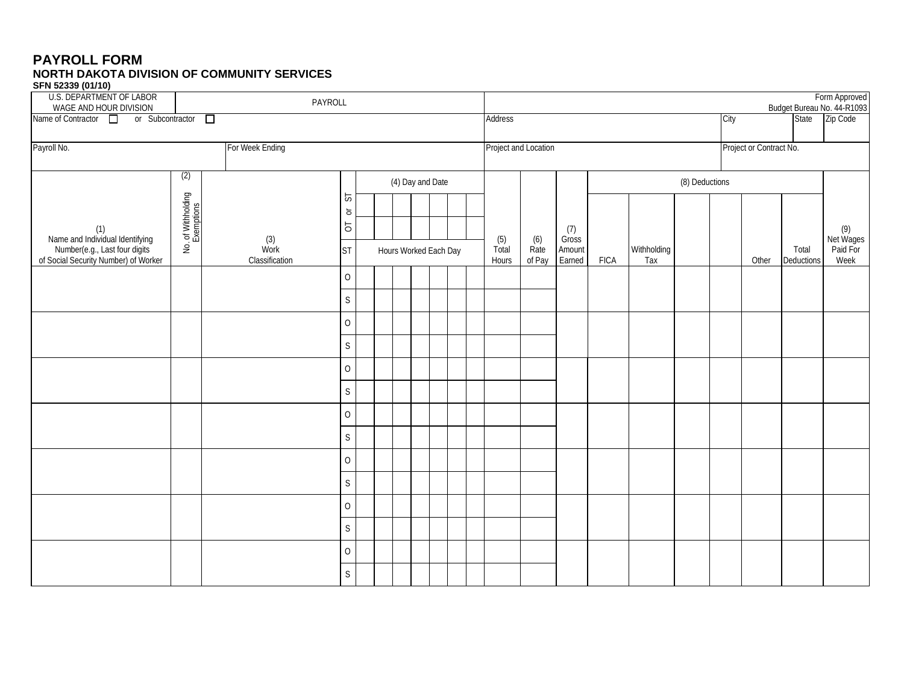#### **PAYROLL FORM NORTH DAKOTA DIVISION OF COMMUNITY SERVICES SFN 52339 (01/10)**

| <b>U.S. DEPARTMENT OF LABOR</b><br>PAYROLL<br>WAGE AND HOUR DIVISION                                            |                                  |                               |                              |                       |  |  |                  |                      | Form Approved<br>Budget Bureau No. 44-R1093 |             |                    |              |  |       |                         |      |       |          |                              |
|-----------------------------------------------------------------------------------------------------------------|----------------------------------|-------------------------------|------------------------------|-----------------------|--|--|------------------|----------------------|---------------------------------------------|-------------|--------------------|--------------|--|-------|-------------------------|------|-------|----------|------------------------------|
| Name of Contractor <sup>1</sup><br>or Subcontractor D                                                           |                                  |                               |                              |                       |  |  |                  |                      | Address                                     |             |                    |              |  |       | City                    |      | State | Zip Code |                              |
| Payroll No.<br>For Week Ending                                                                                  |                                  |                               |                              |                       |  |  |                  | Project and Location |                                             |             |                    |              |  |       | Project or Contract No. |      |       |          |                              |
|                                                                                                                 | (2)                              |                               |                              |                       |  |  |                  |                      |                                             |             |                    |              |  |       |                         |      |       |          |                              |
|                                                                                                                 |                                  |                               | 5                            |                       |  |  | (4) Day and Date |                      |                                             |             |                    |              |  |       | (8) Deductions          |      |       |          |                              |
|                                                                                                                 |                                  |                               | $\overleftarrow{\mathrm{o}}$ |                       |  |  |                  |                      |                                             |             |                    |              |  |       |                         |      |       |          |                              |
|                                                                                                                 | No. of Withholding<br>Exemptions |                               | $\overline{\circ}$           |                       |  |  |                  |                      |                                             | (5)         | (6)                | (7)<br>Gross |  |       |                         |      |       |          | (9)<br>Net Wages<br>Paid For |
| (1)<br>Name and Individual Identifying<br>Number(e.g., Last four digits<br>of Social Security Number) of Worker |                                  | (3)<br>Work<br>Classification | <b>ST</b>                    | Hours Worked Each Day |  |  | Total<br>Hours   | Rate<br>of Pay       | Amount<br>Earned                            | <b>FICA</b> | Withholding<br>Tax |              |  | Other | Total<br>Deductions     | Week |       |          |                              |
|                                                                                                                 |                                  |                               | 0                            |                       |  |  |                  |                      |                                             |             |                    |              |  |       |                         |      |       |          |                              |
|                                                                                                                 |                                  |                               | $\mathsf S$                  |                       |  |  |                  |                      |                                             |             |                    |              |  |       |                         |      |       |          |                              |
|                                                                                                                 |                                  |                               | 0                            |                       |  |  |                  |                      |                                             |             |                    |              |  |       |                         |      |       |          |                              |
|                                                                                                                 |                                  |                               | $\mathsf S$                  |                       |  |  |                  |                      |                                             |             |                    |              |  |       |                         |      |       |          |                              |
|                                                                                                                 |                                  |                               | 0                            |                       |  |  |                  |                      |                                             |             |                    |              |  |       |                         |      |       |          |                              |
|                                                                                                                 |                                  |                               | $\mathsf S$                  |                       |  |  |                  |                      |                                             |             |                    |              |  |       |                         |      |       |          |                              |
|                                                                                                                 |                                  |                               | 0                            |                       |  |  |                  |                      |                                             |             |                    |              |  |       |                         |      |       |          |                              |
|                                                                                                                 |                                  |                               | $\mathsf S$                  |                       |  |  |                  |                      |                                             |             |                    |              |  |       |                         |      |       |          |                              |
|                                                                                                                 |                                  |                               | $\overline{O}$               |                       |  |  |                  |                      |                                             |             |                    |              |  |       |                         |      |       |          |                              |
|                                                                                                                 |                                  |                               | $\mathsf S$                  |                       |  |  |                  |                      |                                             |             |                    |              |  |       |                         |      |       |          |                              |
|                                                                                                                 |                                  |                               | 0                            |                       |  |  |                  |                      |                                             |             |                    |              |  |       |                         |      |       |          |                              |
|                                                                                                                 |                                  |                               | $\mathsf S$                  |                       |  |  |                  |                      |                                             |             |                    |              |  |       |                         |      |       |          |                              |
|                                                                                                                 |                                  |                               | $\overline{O}$               |                       |  |  |                  |                      |                                             |             |                    |              |  |       |                         |      |       |          |                              |
|                                                                                                                 |                                  |                               | $\mathsf S$                  |                       |  |  |                  |                      |                                             |             |                    |              |  |       |                         |      |       |          |                              |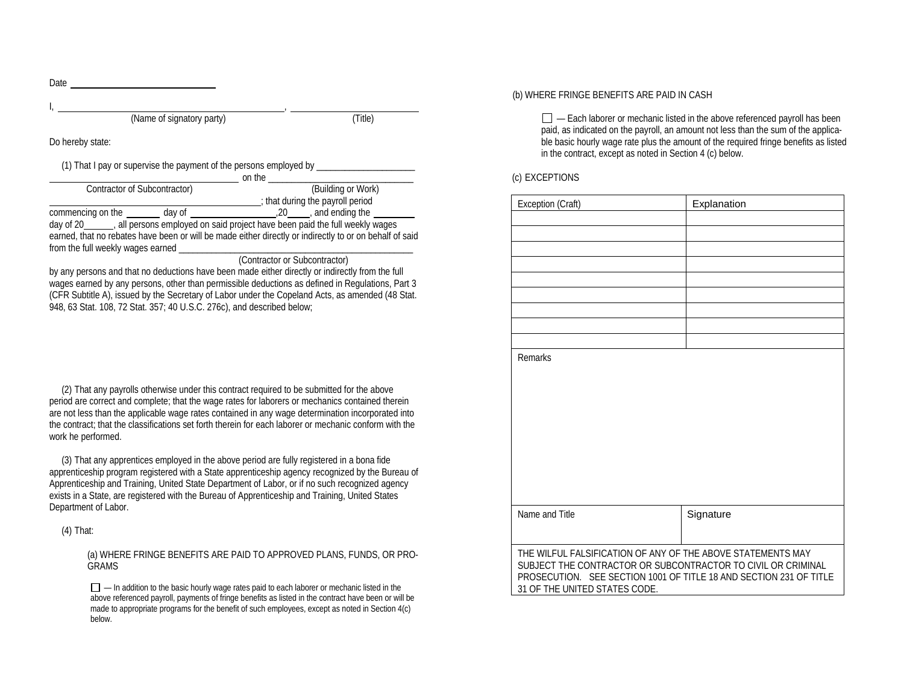Date and the state of the state of the state of the state of the state of the state of the state of the state of the state of the state of the state of the state of the state of the state of the state of the state of the s I, , (Name of signatory party) (Title) Do hereby state: (1) That I pay or supervise the payment of the persons employed by on the \_\_\_\_\_\_\_\_\_\_\_\_\_\_\_\_\_\_\_\_\_\_\_\_\_\_\_\_\_\_\_ Contractor of Subcontractor)

that during the payroll period<br>
commencing on the day of 20 and ending the payroll period zo , and ending the day of 20 , all persons employed on said project have been paid the full weekly wages earned, that no rebates have been or will be made either directly or indirectly to or on behalf of said from the full weekly wages earned

(Contractor or Subcontractor)

by any persons and that no deductions have been made either directly or indirectly from the full wages earned by any persons, other than permissible deductions as defined in Regulations, Part 3 (CFR Subtitle A), issued by the Secretary of Labor under the Copeland Acts, as amended (48 Stat. 948, 63 Stat. 108, 72 Stat. 357; 40 U.S.C. 276c), and described below;

(2) That any payrolls otherwise under this contract required to be submitted for the above period are correct and complete; that the wage rates for laborers or mechanics contained therein are not less than the applicable wage rates contained in any wage determination incorporated into the contract; that the classifications set forth therein for each laborer or mechanic conform with the work he performed.

(3) That any apprentices employed in the above period are fully registered in a bona fide apprenticeship program registered with a State apprenticeship agency recognized by the Bureau of Apprenticeship and Training, United State Department of Labor, or if no such recognized agency exists in a State, are registered with the Bureau of Apprenticeship and Training, United States Department of Labor.

(4) That:

(a) WHERE FRINGE BENEFITS ARE PAID TO APPROVED PLANS, FUNDS, OR PRO-GRAMS

 $\Box$   $-$  In addition to the basic hourly wage rates paid to each laborer or mechanic listed in the above referenced payroll, payments of fringe benefits as listed in the contract have been or will be made to appropriate programs for the benefit of such employees, except as noted in Section 4(c) below.

#### (b) WHERE FRINGE BENEFITS ARE PAID IN CASH

 $\Box$   $=$  Each laborer or mechanic listed in the above referenced payroll has been paid, as indicated on the payroll, an amount not less than the sum of the applicable basic hourly wage rate plus the amount of the required fringe benefits as listed in the contract, except as noted in Section 4 (c) below.

(c) EXCEPTIONS

| Exception (Craft)                                                                                   | Explanation |  |  |  |  |  |  |
|-----------------------------------------------------------------------------------------------------|-------------|--|--|--|--|--|--|
|                                                                                                     |             |  |  |  |  |  |  |
|                                                                                                     |             |  |  |  |  |  |  |
|                                                                                                     |             |  |  |  |  |  |  |
|                                                                                                     |             |  |  |  |  |  |  |
|                                                                                                     |             |  |  |  |  |  |  |
|                                                                                                     |             |  |  |  |  |  |  |
|                                                                                                     |             |  |  |  |  |  |  |
|                                                                                                     |             |  |  |  |  |  |  |
|                                                                                                     |             |  |  |  |  |  |  |
| <b>Remarks</b>                                                                                      |             |  |  |  |  |  |  |
|                                                                                                     |             |  |  |  |  |  |  |
|                                                                                                     |             |  |  |  |  |  |  |
|                                                                                                     |             |  |  |  |  |  |  |
|                                                                                                     |             |  |  |  |  |  |  |
|                                                                                                     |             |  |  |  |  |  |  |
|                                                                                                     |             |  |  |  |  |  |  |
|                                                                                                     |             |  |  |  |  |  |  |
|                                                                                                     |             |  |  |  |  |  |  |
|                                                                                                     |             |  |  |  |  |  |  |
| Name and Title                                                                                      | Signature   |  |  |  |  |  |  |
|                                                                                                     |             |  |  |  |  |  |  |
|                                                                                                     |             |  |  |  |  |  |  |
| THE WILFUL FALSIFICATION OF ANY OF THE ABOVE STATEMENTS MAY                                         |             |  |  |  |  |  |  |
| SUBJECT THE CONTRACTOR OR SUBCONTRACTOR TO CIVIL OR CRIMINAL                                        |             |  |  |  |  |  |  |
| PROSECUTION. SEE SECTION 1001 OF TITLE 18 AND SECTION 231 OF TITLE<br>31 OF THE UNITED STATES CODE. |             |  |  |  |  |  |  |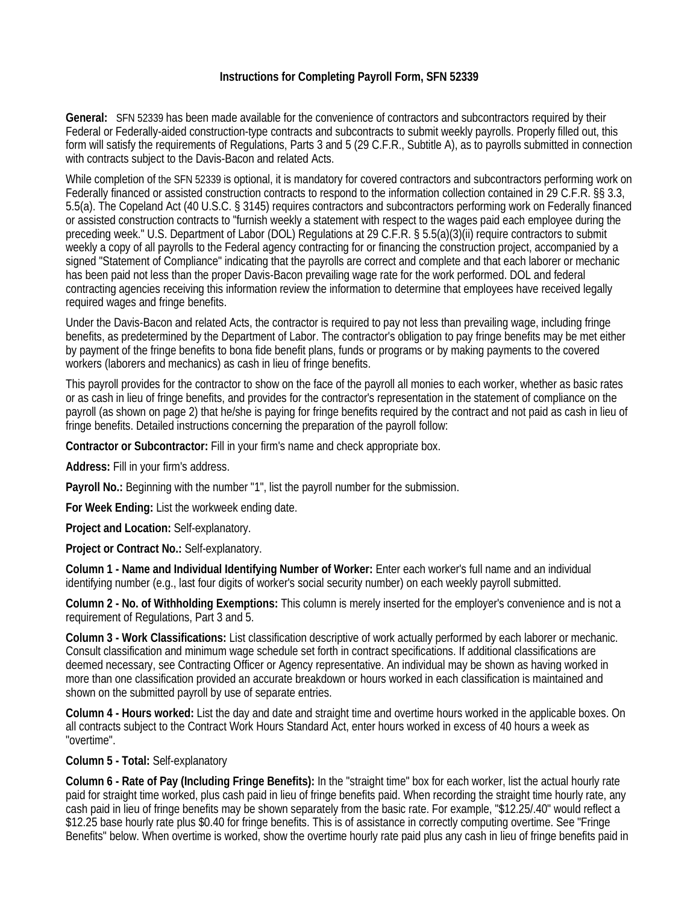# **Instructions for Completing Payroll Form, SFN 52339**

**General:** SFN 52339 has been made available for the convenience of contractors and subcontractors required by their Federal or Federally-aided construction-type contracts and subcontracts to submit weekly payrolls. Properly filled out, this form will satisfy the requirements of Regulations, Parts 3 and 5 (29 C.F.R., Subtitle A), as to payrolls submitted in connection with contracts subject to the Davis-Bacon and related Acts.

While completion of the SFN 52339 is optional, it is mandatory for covered contractors and subcontractors performing work on Federally financed or assisted construction contracts to respond to the information collection contained in 29 C.F.R. §§ 3.3, 5.5(a). The Copeland Act (40 U.S.C. § 3145) requires contractors and subcontractors performing work on Federally financed or assisted construction contracts to "furnish weekly a statement with respect to the wages paid each employee during the preceding week." U.S. Department of Labor (DOL) Regulations at 29 C.F.R. § 5.5(a)(3)(ii) require contractors to submit weekly a copy of all payrolls to the Federal agency contracting for or financing the construction project, accompanied by a signed "Statement of Compliance" indicating that the payrolls are correct and complete and that each laborer or mechanic has been paid not less than the proper Davis-Bacon prevailing wage rate for the work performed. DOL and federal contracting agencies receiving this information review the information to determine that employees have received legally required wages and fringe benefits.

Under the Davis-Bacon and related Acts, the contractor is required to pay not less than prevailing wage, including fringe benefits, as predetermined by the Department of Labor. The contractor's obligation to pay fringe benefits may be met either by payment of the fringe benefits to bona fide benefit plans, funds or programs or by making payments to the covered workers (laborers and mechanics) as cash in lieu of fringe benefits.

This payroll provides for the contractor to show on the face of the payroll all monies to each worker, whether as basic rates or as cash in lieu of fringe benefits, and provides for the contractor's representation in the statement of compliance on the payroll (as shown on page 2) that he/she is paying for fringe benefits required by the contract and not paid as cash in lieu of fringe benefits. Detailed instructions concerning the preparation of the payroll follow:

**Contractor or Subcontractor:** Fill in your firm's name and check appropriate box.

**Address:** Fill in your firm's address.

**Payroll No.:** Beginning with the number "1", list the payroll number for the submission.

**For Week Ending:** List the workweek ending date.

**Project and Location:** Self-explanatory.

**Project or Contract No.:** Self-explanatory.

**Column 1 - Name and Individual Identifying Number of Worker:** Enter each worker's full name and an individual identifying number (e.g., last four digits of worker's social security number) on each weekly payroll submitted.

**Column 2 - No. of Withholding Exemptions:** This column is merely inserted for the employer's convenience and is not a requirement of Regulations, Part 3 and 5.

**Column 3 - Work Classifications:** List classification descriptive of work actually performed by each laborer or mechanic. Consult classification and minimum wage schedule set forth in contract specifications. If additional classifications are deemed necessary, see Contracting Officer or Agency representative. An individual may be shown as having worked in more than one classification provided an accurate breakdown or hours worked in each classification is maintained and shown on the submitted payroll by use of separate entries.

**Column 4 - Hours worked:** List the day and date and straight time and overtime hours worked in the applicable boxes. On all contracts subject to the Contract Work Hours Standard Act, enter hours worked in excess of 40 hours a week as "overtime".

### **Column 5 - Total:** Self-explanatory

**Column 6 - Rate of Pay (Including Fringe Benefits):** In the "straight time" box for each worker, list the actual hourly rate paid for straight time worked, plus cash paid in lieu of fringe benefits paid. When recording the straight time hourly rate, any cash paid in lieu of fringe benefits may be shown separately from the basic rate. For example, "\$12.25/.40" would reflect a \$12.25 base hourly rate plus \$0.40 for fringe benefits. This is of assistance in correctly computing overtime. See "Fringe Benefits" below. When overtime is worked, show the overtime hourly rate paid plus any cash in lieu of fringe benefits paid in